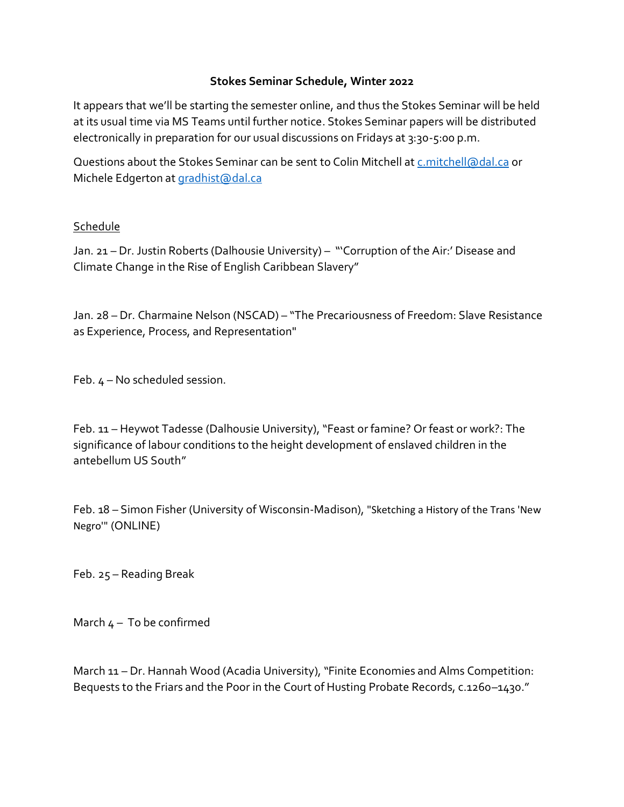## **Stokes Seminar Schedule, Winter 2022**

It appears that we'll be starting the semester online, and thus the Stokes Seminar will be held at its usual time via MS Teams until further notice. Stokes Seminar papers will be distributed electronically in preparation for our usual discussions on Fridays at 3:30-5:00 p.m.

Questions about the Stokes Seminar can be sent to Colin Mitchell a[t c.mitchell@dal.ca](mailto:c.mitchell@dal.ca) or Michele Edgerton a[t gradhist@dal.ca](mailto:gradhist@dal.ca)

## Schedule

Jan. 21 – Dr. Justin Roberts (Dalhousie University) – "'Corruption of the Air:' Disease and Climate Change in the Rise of English Caribbean Slavery"

Jan. 28 – Dr. Charmaine Nelson (NSCAD) – "The Precariousness of Freedom: Slave Resistance as Experience, Process, and Representation"

Feb. 4 – No scheduled session.

Feb. 11 – Heywot Tadesse (Dalhousie University), "Feast or famine? Or feast or work?: The significance of labour conditions to the height development of enslaved children in the antebellum US South"

Feb. 18 – Simon Fisher (University of Wisconsin-Madison), "Sketching a History of the Trans 'New Negro'" (ONLINE)

Feb. 25 – Reading Break

March  $4 - To$  be confirmed

March 11 – Dr. Hannah Wood (Acadia University), "Finite Economies and Alms Competition: Bequests to the Friars and the Poor in the Court of Husting Probate Records, c.1260–1430."